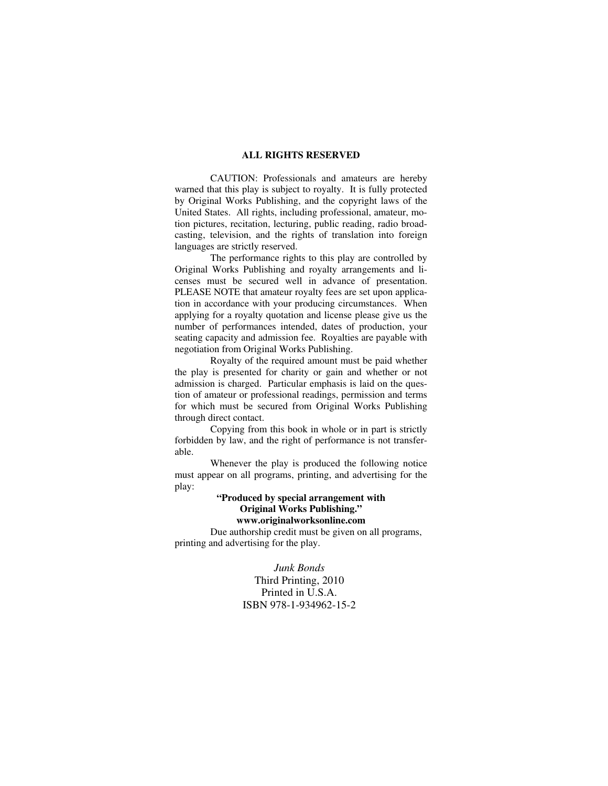#### **ALL RIGHTS RESERVED**

 CAUTION: Professionals and amateurs are hereby warned that this play is subject to royalty. It is fully protected by Original Works Publishing, and the copyright laws of the United States. All rights, including professional, amateur, motion pictures, recitation, lecturing, public reading, radio broadcasting, television, and the rights of translation into foreign languages are strictly reserved.

 The performance rights to this play are controlled by Original Works Publishing and royalty arrangements and licenses must be secured well in advance of presentation. PLEASE NOTE that amateur royalty fees are set upon application in accordance with your producing circumstances. When applying for a royalty quotation and license please give us the number of performances intended, dates of production, your seating capacity and admission fee. Royalties are payable with negotiation from Original Works Publishing.

 Royalty of the required amount must be paid whether the play is presented for charity or gain and whether or not admission is charged. Particular emphasis is laid on the question of amateur or professional readings, permission and terms for which must be secured from Original Works Publishing through direct contact.

 Copying from this book in whole or in part is strictly forbidden by law, and the right of performance is not transferable.

 Whenever the play is produced the following notice must appear on all programs, printing, and advertising for the play:

# **"Produced by special arrangement with Original Works Publishing."**

**www.originalworksonline.com** 

 Due authorship credit must be given on all programs, printing and advertising for the play.

> *Junk Bonds*  Third Printing, 2010 Printed in U.S.A. ISBN 978-1-934962-15-2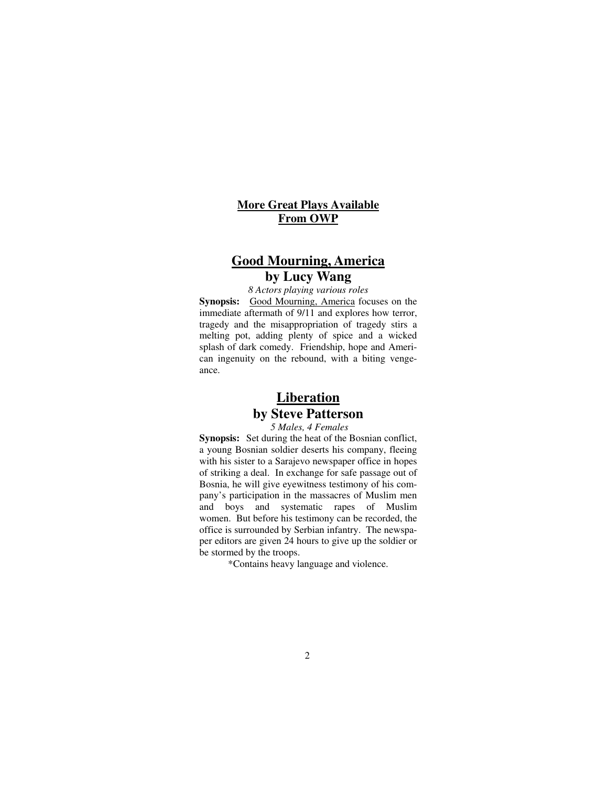# **More Great Plays Available From OWP**

# **Good Mourning, America by Lucy Wang**

*8 Actors playing various roles* **Synopsis:** Good Mourning, America focuses on the immediate aftermath of 9/11 and explores how terror, tragedy and the misappropriation of tragedy stirs a melting pot, adding plenty of spice and a wicked splash of dark comedy. Friendship, hope and American ingenuity on the rebound, with a biting vengeance.

# **Liberation by Steve Patterson**

*5 Males, 4 Females* **Synopsis:** Set during the heat of the Bosnian conflict, a young Bosnian soldier deserts his company, fleeing with his sister to a Sarajevo newspaper office in hopes of striking a deal. In exchange for safe passage out of Bosnia, he will give eyewitness testimony of his com-

pany's participation in the massacres of Muslim men and boys and systematic rapes of Muslim women. But before his testimony can be recorded, the office is surrounded by Serbian infantry. The newspaper editors are given 24 hours to give up the soldier or be stormed by the troops.

\*Contains heavy language and violence.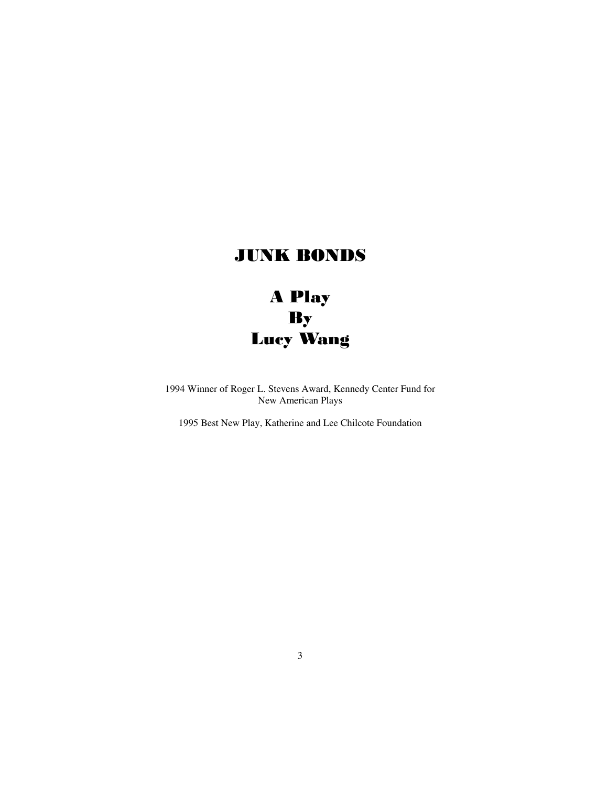# JUNK BONDS

# A Play By Lucy Wang

1994 Winner of Roger L. Stevens Award, Kennedy Center Fund for New American Plays

1995 Best New Play, Katherine and Lee Chilcote Foundation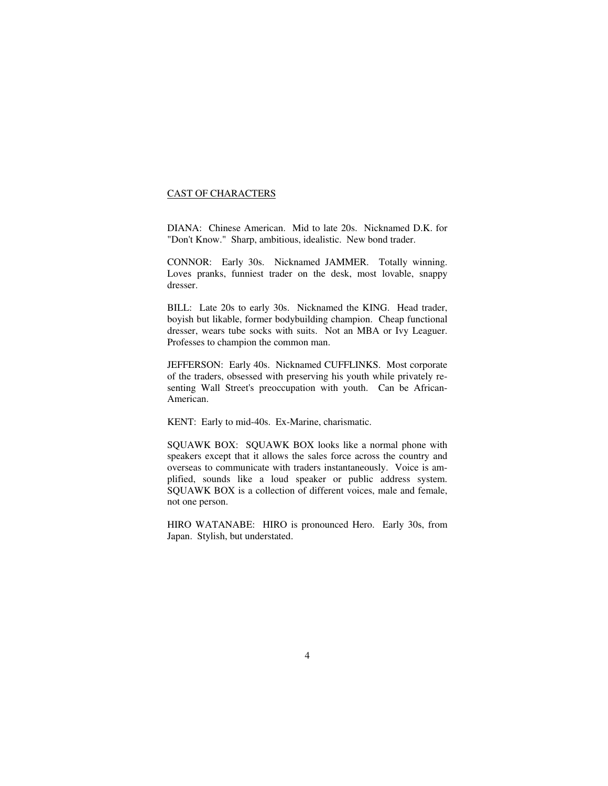#### CAST OF CHARACTERS

DIANA: Chinese American. Mid to late 20s. Nicknamed D.K. for "Don't Know." Sharp, ambitious, idealistic. New bond trader.

CONNOR: Early 30s. Nicknamed JAMMER. Totally winning. Loves pranks, funniest trader on the desk, most lovable, snappy dresser.

BILL: Late 20s to early 30s. Nicknamed the KING. Head trader, boyish but likable, former bodybuilding champion. Cheap functional dresser, wears tube socks with suits. Not an MBA or Ivy Leaguer. Professes to champion the common man.

JEFFERSON: Early 40s. Nicknamed CUFFLINKS. Most corporate of the traders, obsessed with preserving his youth while privately resenting Wall Street's preoccupation with youth. Can be African-American.

KENT: Early to mid-40s. Ex-Marine, charismatic.

SQUAWK BOX: SQUAWK BOX looks like a normal phone with speakers except that it allows the sales force across the country and overseas to communicate with traders instantaneously. Voice is amplified, sounds like a loud speaker or public address system. SQUAWK BOX is a collection of different voices, male and female, not one person.

HIRO WATANABE: HIRO is pronounced Hero. Early 30s, from Japan. Stylish, but understated.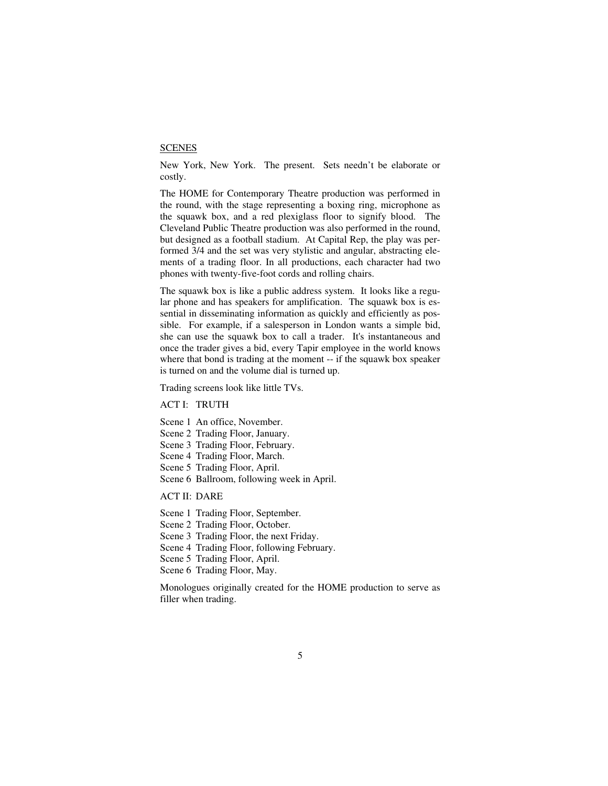## **SCENES**

New York, New York. The present. Sets needn't be elaborate or costly.

The HOME for Contemporary Theatre production was performed in the round, with the stage representing a boxing ring, microphone as the squawk box, and a red plexiglass floor to signify blood. The Cleveland Public Theatre production was also performed in the round, but designed as a football stadium. At Capital Rep, the play was performed 3/4 and the set was very stylistic and angular, abstracting elements of a trading floor. In all productions, each character had two phones with twenty-five-foot cords and rolling chairs.

The squawk box is like a public address system. It looks like a regular phone and has speakers for amplification. The squawk box is essential in disseminating information as quickly and efficiently as possible. For example, if a salesperson in London wants a simple bid, she can use the squawk box to call a trader. It's instantaneous and once the trader gives a bid, every Tapir employee in the world knows where that bond is trading at the moment -- if the squawk box speaker is turned on and the volume dial is turned up.

Trading screens look like little TVs.

## ACT I: TRUTH

- Scene 1 An office, November.
- Scene 2 Trading Floor, January.
- Scene 3 Trading Floor, February.
- Scene 4 Trading Floor, March.
- Scene 5 Trading Floor, April.
- Scene 6 Ballroom, following week in April.

ACT II: DARE

Scene 1 Trading Floor, September.

Scene 2 Trading Floor, October.

- Scene 3 Trading Floor, the next Friday.
- Scene 4 Trading Floor, following February.
- Scene 5 Trading Floor, April.
- Scene 6 Trading Floor, May.

Monologues originally created for the HOME production to serve as filler when trading.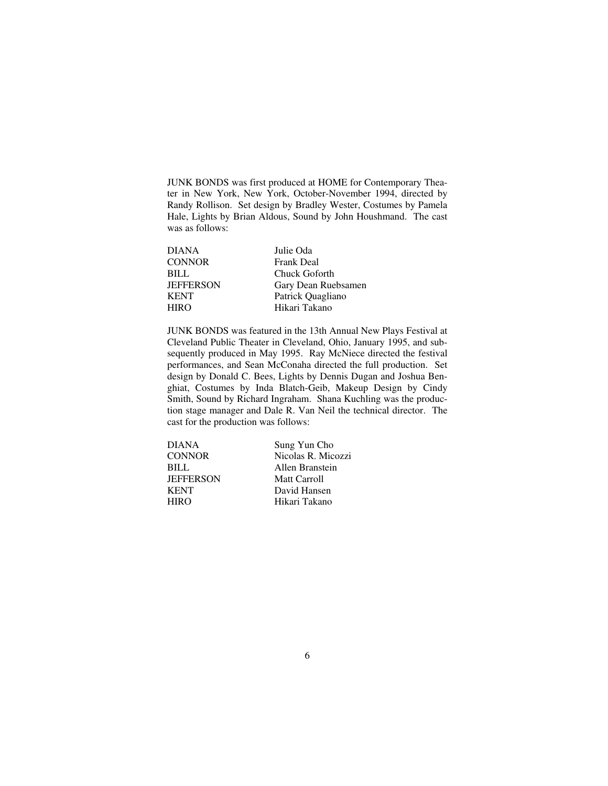JUNK BONDS was first produced at HOME for Contemporary Theater in New York, New York, October-November 1994, directed by Randy Rollison. Set design by Bradley Wester, Costumes by Pamela Hale, Lights by Brian Aldous, Sound by John Houshmand. The cast was as follows:

| <b>DIANA</b>     | Julie Oda           |
|------------------|---------------------|
| <b>CONNOR</b>    | <b>Frank Deal</b>   |
| <b>BILL</b>      | Chuck Goforth       |
| <b>JEFFERSON</b> | Gary Dean Ruebsamen |
| <b>KENT</b>      | Patrick Quagliano   |
| <b>HIRO</b>      | Hikari Takano       |

JUNK BONDS was featured in the 13th Annual New Plays Festival at Cleveland Public Theater in Cleveland, Ohio, January 1995, and subsequently produced in May 1995. Ray McNiece directed the festival performances, and Sean McConaha directed the full production. Set design by Donald C. Bees, Lights by Dennis Dugan and Joshua Benghiat, Costumes by Inda Blatch-Geib, Makeup Design by Cindy Smith, Sound by Richard Ingraham. Shana Kuchling was the production stage manager and Dale R. Van Neil the technical director. The cast for the production was follows:

| <b>DIANA</b>     | Sung Yun Cho       |
|------------------|--------------------|
| <b>CONNOR</b>    | Nicolas R. Micozzi |
| BILL             | Allen Branstein    |
| <b>JEFFERSON</b> | Matt Carroll       |
| <b>KENT</b>      | David Hansen       |
| <b>HIRO</b>      | Hikari Takano      |
|                  |                    |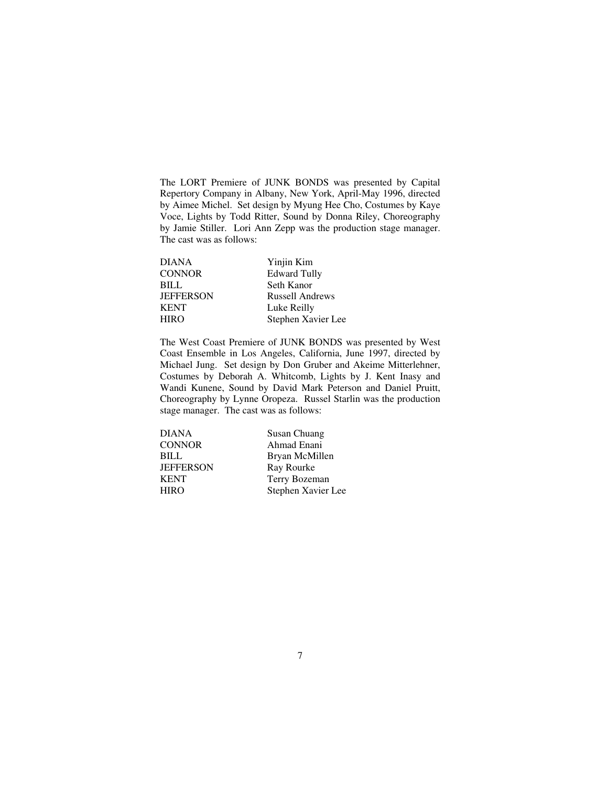The LORT Premiere of JUNK BONDS was presented by Capital Repertory Company in Albany, New York, April-May 1996, directed by Aimee Michel. Set design by Myung Hee Cho, Costumes by Kaye Voce, Lights by Todd Ritter, Sound by Donna Riley, Choreography by Jamie Stiller. Lori Ann Zepp was the production stage manager. The cast was as follows:

| <b>DIANA</b>     | Yinjin Kim             |
|------------------|------------------------|
| <b>CONNOR</b>    | <b>Edward Tully</b>    |
| BILL             | Seth Kanor             |
| <b>JEFFERSON</b> | <b>Russell Andrews</b> |
| <b>KENT</b>      | Luke Reilly            |
| <b>HIRO</b>      | Stephen Xavier Lee     |

The West Coast Premiere of JUNK BONDS was presented by West Coast Ensemble in Los Angeles, California, June 1997, directed by Michael Jung. Set design by Don Gruber and Akeime Mitterlehner, Costumes by Deborah A. Whitcomb, Lights by J. Kent Inasy and Wandi Kunene, Sound by David Mark Peterson and Daniel Pruitt, Choreography by Lynne Oropeza. Russel Starlin was the production stage manager. The cast was as follows:

| <b>DIANA</b>     | Susan Chuang       |
|------------------|--------------------|
| <b>CONNOR</b>    | Ahmad Enani        |
| <b>BILL</b>      | Bryan McMillen     |
| <b>JEFFERSON</b> | Ray Rourke         |
| <b>KENT</b>      | Terry Bozeman      |
| <b>HIRO</b>      | Stephen Xavier Lee |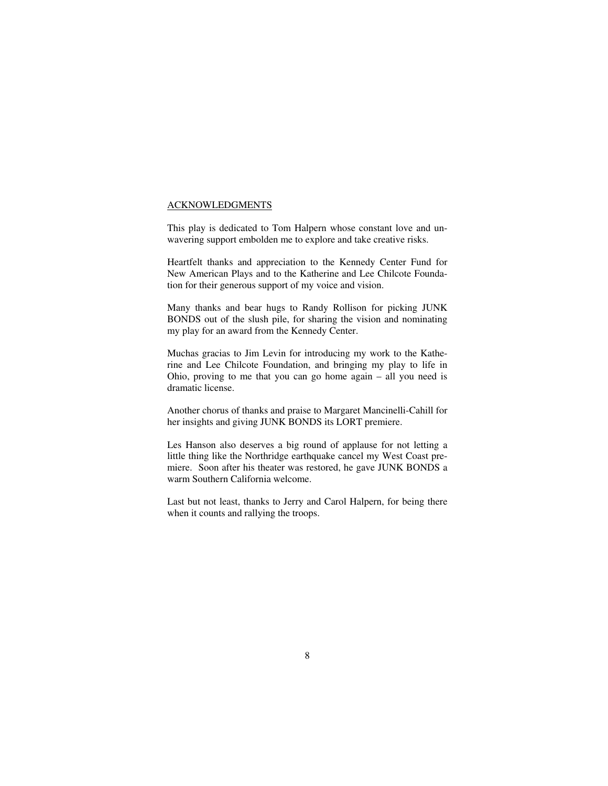#### ACKNOWLEDGMENTS

This play is dedicated to Tom Halpern whose constant love and unwavering support embolden me to explore and take creative risks.

Heartfelt thanks and appreciation to the Kennedy Center Fund for New American Plays and to the Katherine and Lee Chilcote Foundation for their generous support of my voice and vision.

Many thanks and bear hugs to Randy Rollison for picking JUNK BONDS out of the slush pile, for sharing the vision and nominating my play for an award from the Kennedy Center.

Muchas gracias to Jim Levin for introducing my work to the Katherine and Lee Chilcote Foundation, and bringing my play to life in Ohio, proving to me that you can go home again – all you need is dramatic license.

Another chorus of thanks and praise to Margaret Mancinelli-Cahill for her insights and giving JUNK BONDS its LORT premiere.

Les Hanson also deserves a big round of applause for not letting a little thing like the Northridge earthquake cancel my West Coast premiere. Soon after his theater was restored, he gave JUNK BONDS a warm Southern California welcome.

Last but not least, thanks to Jerry and Carol Halpern, for being there when it counts and rallying the troops.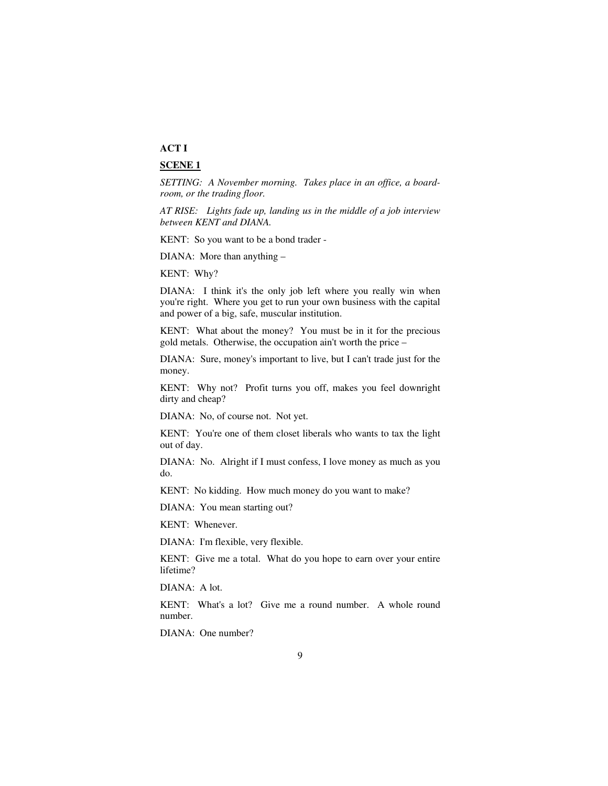## **ACT I**

#### **SCENE 1**

*SETTING: A November morning. Takes place in an office, a boardroom, or the trading floor.* 

*AT RISE: Lights fade up, landing us in the middle of a job interview between KENT and DIANA.* 

KENT: So you want to be a bond trader -

DIANA: More than anything –

KENT: Why?

DIANA: I think it's the only job left where you really win when you're right. Where you get to run your own business with the capital and power of a big, safe, muscular institution.

KENT: What about the money? You must be in it for the precious gold metals. Otherwise, the occupation ain't worth the price –

DIANA: Sure, money's important to live, but I can't trade just for the money.

KENT: Why not? Profit turns you off, makes you feel downright dirty and cheap?

DIANA: No, of course not. Not yet.

KENT: You're one of them closet liberals who wants to tax the light out of day.

DIANA: No. Alright if I must confess, I love money as much as you do.

KENT: No kidding. How much money do you want to make?

DIANA: You mean starting out?

KENT: Whenever.

DIANA: I'm flexible, very flexible.

KENT: Give me a total. What do you hope to earn over your entire lifetime?

DIANA: A lot.

KENT: What's a lot? Give me a round number. A whole round number.

DIANA: One number?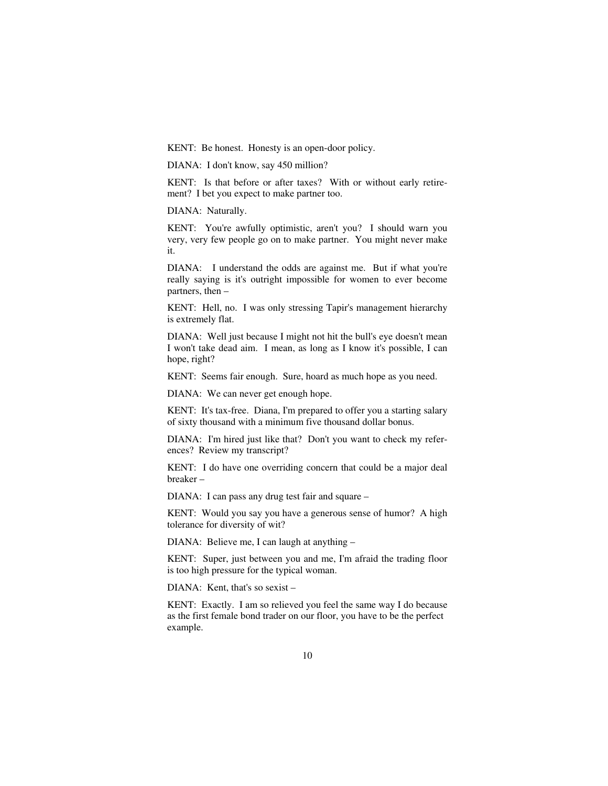KENT: Be honest. Honesty is an open-door policy.

DIANA: I don't know, say 450 million?

KENT: Is that before or after taxes? With or without early retirement? I bet you expect to make partner too.

DIANA: Naturally.

KENT: You're awfully optimistic, aren't you? I should warn you very, very few people go on to make partner. You might never make it.

DIANA: I understand the odds are against me. But if what you're really saying is it's outright impossible for women to ever become partners, then –

KENT: Hell, no. I was only stressing Tapir's management hierarchy is extremely flat.

DIANA: Well just because I might not hit the bull's eye doesn't mean I won't take dead aim. I mean, as long as I know it's possible, I can hope, right?

KENT: Seems fair enough. Sure, hoard as much hope as you need.

DIANA: We can never get enough hope.

KENT: It's tax-free. Diana, I'm prepared to offer you a starting salary of sixty thousand with a minimum five thousand dollar bonus.

DIANA: I'm hired just like that? Don't you want to check my references? Review my transcript?

KENT: I do have one overriding concern that could be a major deal breaker –

DIANA: I can pass any drug test fair and square –

KENT: Would you say you have a generous sense of humor? A high tolerance for diversity of wit?

DIANA: Believe me, I can laugh at anything –

KENT: Super, just between you and me, I'm afraid the trading floor is too high pressure for the typical woman.

DIANA: Kent, that's so sexist –

KENT: Exactly. I am so relieved you feel the same way I do because as the first female bond trader on our floor, you have to be the perfect example.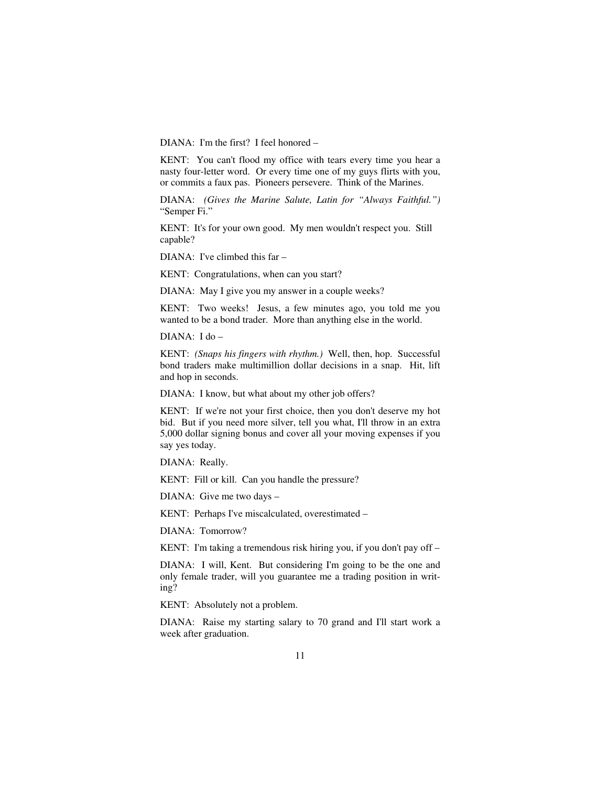DIANA: I'm the first? I feel honored –

KENT: You can't flood my office with tears every time you hear a nasty four-letter word. Or every time one of my guys flirts with you, or commits a faux pas. Pioneers persevere. Think of the Marines.

DIANA: *(Gives the Marine Salute, Latin for "Always Faithful.")* "Semper Fi."

KENT: It's for your own good. My men wouldn't respect you. Still capable?

DIANA: I've climbed this far –

KENT: Congratulations, when can you start?

DIANA: May I give you my answer in a couple weeks?

KENT: Two weeks! Jesus, a few minutes ago, you told me you wanted to be a bond trader. More than anything else in the world.

DIANA: I do –

KENT: *(Snaps his fingers with rhythm.)* Well, then, hop. Successful bond traders make multimillion dollar decisions in a snap. Hit, lift and hop in seconds.

DIANA: I know, but what about my other job offers?

KENT: If we're not your first choice, then you don't deserve my hot bid. But if you need more silver, tell you what, I'll throw in an extra 5,000 dollar signing bonus and cover all your moving expenses if you say yes today.

DIANA: Really.

KENT: Fill or kill. Can you handle the pressure?

DIANA: Give me two days –

KENT: Perhaps I've miscalculated, overestimated –

DIANA: Tomorrow?

KENT: I'm taking a tremendous risk hiring you, if you don't pay off –

DIANA: I will, Kent. But considering I'm going to be the one and only female trader, will you guarantee me a trading position in writing?

KENT: Absolutely not a problem.

DIANA: Raise my starting salary to 70 grand and I'll start work a week after graduation.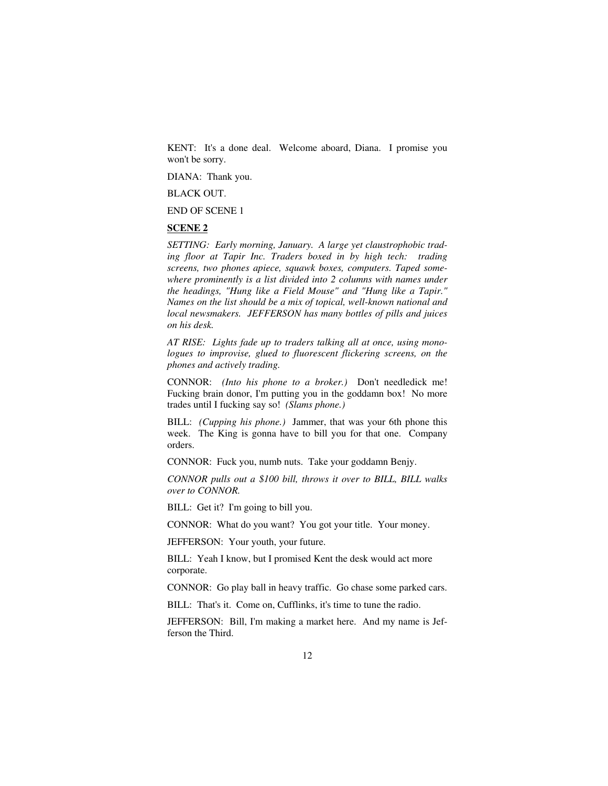KENT: It's a done deal. Welcome aboard, Diana. I promise you won't be sorry.

DIANA: Thank you.

BLACK OUT.

END OF SCENE 1

### **SCENE 2**

*SETTING: Early morning, January. A large yet claustrophobic trading floor at Tapir Inc. Traders boxed in by high tech: trading screens, two phones apiece, squawk boxes, computers. Taped somewhere prominently is a list divided into 2 columns with names under the headings, "Hung like a Field Mouse" and "Hung like a Tapir." Names on the list should be a mix of topical, well-known national and local newsmakers. JEFFERSON has many bottles of pills and juices on his desk.* 

*AT RISE: Lights fade up to traders talking all at once, using monologues to improvise, glued to fluorescent flickering screens, on the phones and actively trading.* 

CONNOR: *(Into his phone to a broker.)* Don't needledick me! Fucking brain donor, I'm putting you in the goddamn box! No more trades until I fucking say so! *(Slams phone.)*

BILL: *(Cupping his phone.)* Jammer, that was your 6th phone this week. The King is gonna have to bill you for that one. Company orders.

CONNOR: Fuck you, numb nuts. Take your goddamn Benjy.

*CONNOR pulls out a \$100 bill, throws it over to BILL, BILL walks over to CONNOR.* 

BILL: Get it? I'm going to bill you.

CONNOR: What do you want? You got your title. Your money.

JEFFERSON: Your youth, your future.

BILL: Yeah I know, but I promised Kent the desk would act more corporate.

CONNOR: Go play ball in heavy traffic. Go chase some parked cars.

BILL: That's it. Come on, Cufflinks, it's time to tune the radio.

JEFFERSON: Bill, I'm making a market here. And my name is Jefferson the Third.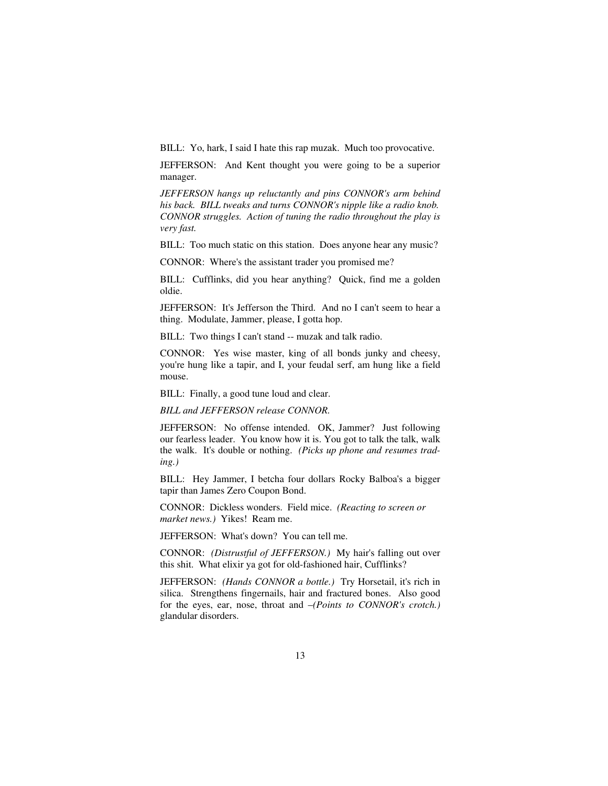BILL: Yo, hark, I said I hate this rap muzak. Much too provocative.

JEFFERSON: And Kent thought you were going to be a superior manager.

*JEFFERSON hangs up reluctantly and pins CONNOR's arm behind his back. BILL tweaks and turns CONNOR's nipple like a radio knob. CONNOR struggles. Action of tuning the radio throughout the play is very fast.* 

BILL: Too much static on this station. Does anyone hear any music?

CONNOR: Where's the assistant trader you promised me?

BILL: Cufflinks, did you hear anything? Quick, find me a golden oldie.

JEFFERSON: It's Jefferson the Third. And no I can't seem to hear a thing. Modulate, Jammer, please, I gotta hop.

BILL: Two things I can't stand -- muzak and talk radio.

CONNOR: Yes wise master, king of all bonds junky and cheesy, you're hung like a tapir, and I, your feudal serf, am hung like a field mouse.

BILL: Finally, a good tune loud and clear.

*BILL and JEFFERSON release CONNOR.* 

JEFFERSON: No offense intended. OK, Jammer? Just following our fearless leader. You know how it is. You got to talk the talk, walk the walk. It's double or nothing. *(Picks up phone and resumes trading.)*

BILL: Hey Jammer, I betcha four dollars Rocky Balboa's a bigger tapir than James Zero Coupon Bond.

CONNOR: Dickless wonders. Field mice. *(Reacting to screen or market news.)* Yikes! Ream me.

JEFFERSON: What's down? You can tell me.

CONNOR: *(Distrustful of JEFFERSON.)* My hair's falling out over this shit. What elixir ya got for old-fashioned hair, Cufflinks?

JEFFERSON: *(Hands CONNOR a bottle.)* Try Horsetail, it's rich in silica. Strengthens fingernails, hair and fractured bones. Also good for the eyes, ear, nose, throat and –*(Points to CONNOR's crotch.)* glandular disorders.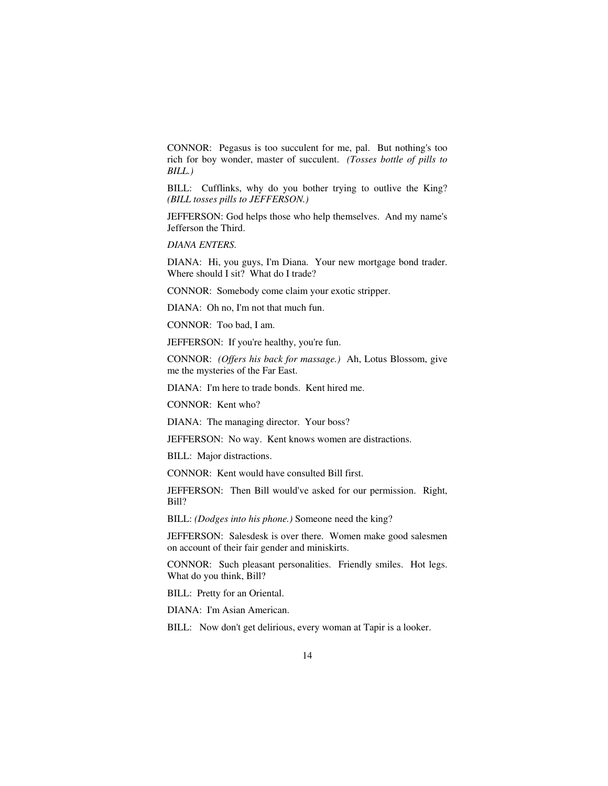CONNOR: Pegasus is too succulent for me, pal. But nothing's too rich for boy wonder, master of succulent. *(Tosses bottle of pills to BILL.)*

BILL: Cufflinks, why do you bother trying to outlive the King? *(BILL tosses pills to JEFFERSON.)*

JEFFERSON: God helps those who help themselves. And my name's Jefferson the Third.

*DIANA ENTERS.* 

DIANA: Hi, you guys, I'm Diana. Your new mortgage bond trader. Where should I sit? What do I trade?

CONNOR: Somebody come claim your exotic stripper.

DIANA: Oh no, I'm not that much fun.

CONNOR: Too bad, I am.

JEFFERSON: If you're healthy, you're fun.

CONNOR: *(Offers his back for massage.)* Ah, Lotus Blossom, give me the mysteries of the Far East.

DIANA: I'm here to trade bonds. Kent hired me.

CONNOR: Kent who?

DIANA: The managing director. Your boss?

JEFFERSON: No way. Kent knows women are distractions.

BILL: Major distractions.

CONNOR: Kent would have consulted Bill first.

JEFFERSON: Then Bill would've asked for our permission. Right, Bill?

BILL: *(Dodges into his phone.)* Someone need the king?

JEFFERSON: Salesdesk is over there. Women make good salesmen on account of their fair gender and miniskirts.

CONNOR: Such pleasant personalities. Friendly smiles. Hot legs. What do you think, Bill?

BILL: Pretty for an Oriental.

DIANA: I'm Asian American.

BILL: Now don't get delirious, every woman at Tapir is a looker.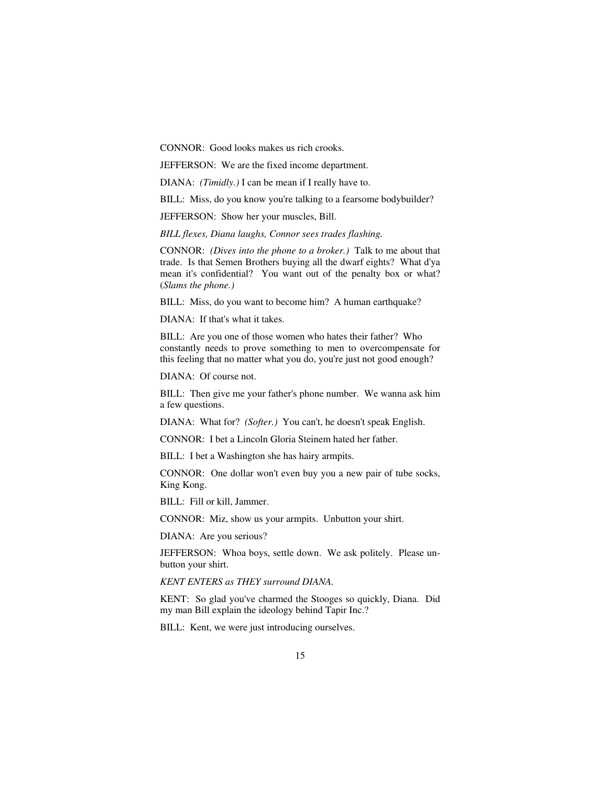CONNOR: Good looks makes us rich crooks.

JEFFERSON: We are the fixed income department.

DIANA: *(Timidly.)* I can be mean if I really have to.

BILL: Miss, do you know you're talking to a fearsome bodybuilder?

JEFFERSON: Show her your muscles, Bill.

*BILL flexes, Diana laughs, Connor sees trades flashing.* 

CONNOR: *(Dives into the phone to a broker.)* Talk to me about that trade. Is that Semen Brothers buying all the dwarf eights? What d'ya mean it's confidential? You want out of the penalty box or what? (*Slams the phone.)*

BILL: Miss, do you want to become him? A human earthquake?

DIANA: If that's what it takes.

BILL: Are you one of those women who hates their father? Who constantly needs to prove something to men to overcompensate for this feeling that no matter what you do, you're just not good enough?

DIANA: Of course not.

BILL: Then give me your father's phone number. We wanna ask him a few questions.

DIANA: What for? *(Softer.)* You can't, he doesn't speak English.

CONNOR: I bet a Lincoln Gloria Steinem hated her father.

BILL: I bet a Washington she has hairy armpits.

CONNOR: One dollar won't even buy you a new pair of tube socks, King Kong.

BILL: Fill or kill, Jammer.

CONNOR: Miz, show us your armpits. Unbutton your shirt.

DIANA: Are you serious?

JEFFERSON: Whoa boys, settle down. We ask politely. Please unbutton your shirt.

*KENT ENTERS as THEY surround DIANA.* 

KENT: So glad you've charmed the Stooges so quickly, Diana. Did my man Bill explain the ideology behind Tapir Inc.?

BILL: Kent, we were just introducing ourselves.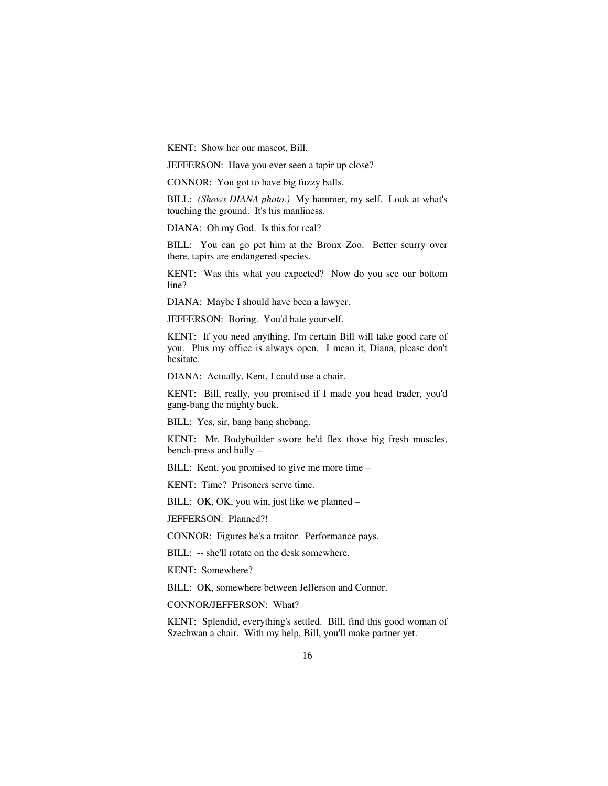KENT: Show her our mascot, Bill.

JEFFERSON: Have you ever seen a tapir up close?

CONNOR: You got to have big fuzzy balls.

BILL: *(Shows DIANA photo.)* My hammer, my self. Look at what's touching the ground. It's his manliness.

DIANA: Oh my God. Is this for real?

BILL: You can go pet him at the Bronx Zoo. Better scurry over there, tapirs are endangered species.

KENT: Was this what you expected? Now do you see our bottom line?

DIANA: Maybe I should have been a lawyer.

JEFFERSON: Boring. You'd hate yourself.

KENT: If you need anything, I'm certain Bill will take good care of you. Plus my office is always open. I mean it, Diana, please don't hesitate.

DIANA: Actually, Kent, I could use a chair.

KENT: Bill, really, you promised if I made you head trader, you'd gang-bang the mighty buck.

BILL: Yes, sir, bang bang shebang.

KENT: Mr. Bodybuilder swore he'd flex those big fresh muscles, bench-press and bully –

BILL: Kent, you promised to give me more time –

KENT: Time? Prisoners serve time.

BILL: OK, OK, you win, just like we planned –

JEFFERSON: Planned?!

CONNOR: Figures he's a traitor. Performance pays.

BILL: -- she'll rotate on the desk somewhere.

KENT: Somewhere?

BILL: OK, somewhere between Jefferson and Connor.

CONNOR/JEFFERSON: What?

KENT: Splendid, everything's settled. Bill, find this good woman of Szechwan a chair. With my help, Bill, you'll make partner yet.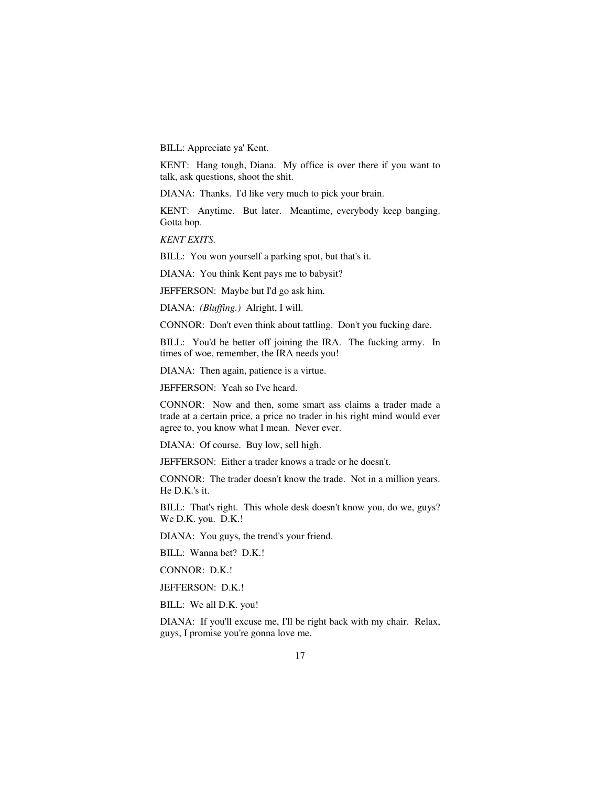BILL: Appreciate ya' Kent.

KENT: Hang tough, Diana. My office is over there if you want to talk, ask questions, shoot the shit.

DIANA: Thanks. I'd like very much to pick your brain.

KENT: Anytime. But later. Meantime, everybody keep banging. Gotta hop.

*KENT EXITS.* 

BILL: You won yourself a parking spot, but that's it.

DIANA: You think Kent pays me to babysit?

JEFFERSON: Maybe but I'd go ask him.

DIANA: *(Bluffing.)* Alright, I will.

CONNOR: Don't even think about tattling. Don't you fucking dare.

BILL: You'd be better off joining the IRA. The fucking army. In times of woe, remember, the IRA needs you!

DIANA: Then again, patience is a virtue.

JEFFERSON: Yeah so I've heard.

CONNOR: Now and then, some smart ass claims a trader made a trade at a certain price, a price no trader in his right mind would ever agree to, you know what I mean. Never ever.

DIANA: Of course. Buy low, sell high.

JEFFERSON: Either a trader knows a trade or he doesn't.

CONNOR: The trader doesn't know the trade. Not in a million years. He D.K.'s it.

BILL: That's right. This whole desk doesn't know you, do we, guys? We D.K. you. D.K.!

DIANA: You guys, the trend's your friend.

BILL: Wanna bet? D.K.!

CONNOR: D.K.!

JEFFERSON: D.K.!

BILL: We all D.K. you!

DIANA: If you'll excuse me, I'll be right back with my chair. Relax, guys, I promise you're gonna love me.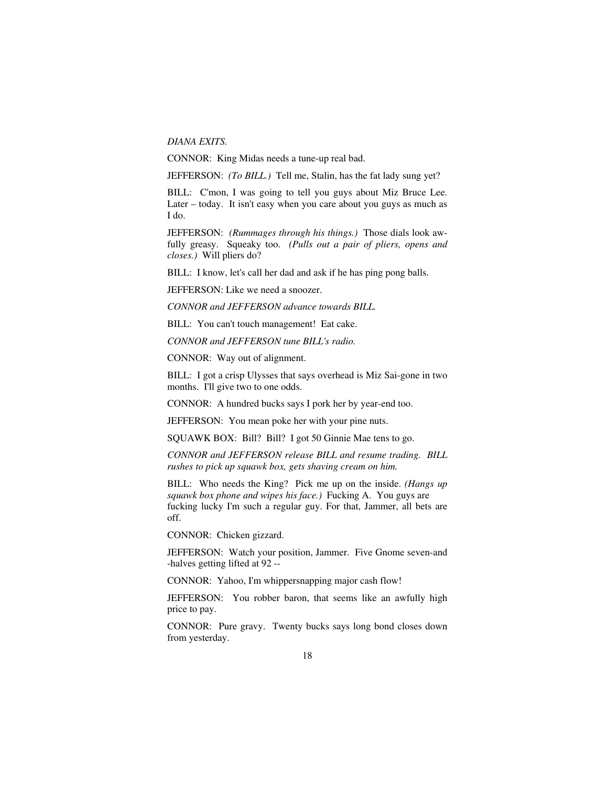#### *DIANA EXITS.*

CONNOR: King Midas needs a tune-up real bad.

JEFFERSON: *(To BILL.)* Tell me, Stalin, has the fat lady sung yet?

BILL: C'mon, I was going to tell you guys about Miz Bruce Lee. Later – today. It isn't easy when you care about you guys as much as I do.

JEFFERSON: *(Rummages through his things.)* Those dials look awfully greasy. Squeaky too. *(Pulls out a pair of pliers, opens and closes.)* Will pliers do?

BILL: I know, let's call her dad and ask if he has ping pong balls.

JEFFERSON: Like we need a snoozer.

*CONNOR and JEFFERSON advance towards BILL.* 

BILL: You can't touch management! Eat cake.

*CONNOR and JEFFERSON tune BILL's radio.* 

CONNOR: Way out of alignment.

BILL: I got a crisp Ulysses that says overhead is Miz Sai-gone in two months. I'll give two to one odds.

CONNOR: A hundred bucks says I pork her by year-end too.

JEFFERSON: You mean poke her with your pine nuts.

SQUAWK BOX: Bill? Bill? I got 50 Ginnie Mae tens to go.

*CONNOR and JEFFERSON release BILL and resume trading. BILL rushes to pick up squawk box, gets shaving cream on him.* 

BILL: Who needs the King? Pick me up on the inside. *(Hangs up squawk box phone and wipes his face.)* Fucking A. You guys are fucking lucky I'm such a regular guy. For that, Jammer, all bets are off.

CONNOR: Chicken gizzard.

JEFFERSON: Watch your position, Jammer. Five Gnome seven-and -halves getting lifted at 92 --

CONNOR: Yahoo, I'm whippersnapping major cash flow!

JEFFERSON: You robber baron, that seems like an awfully high price to pay.

CONNOR: Pure gravy. Twenty bucks says long bond closes down from yesterday.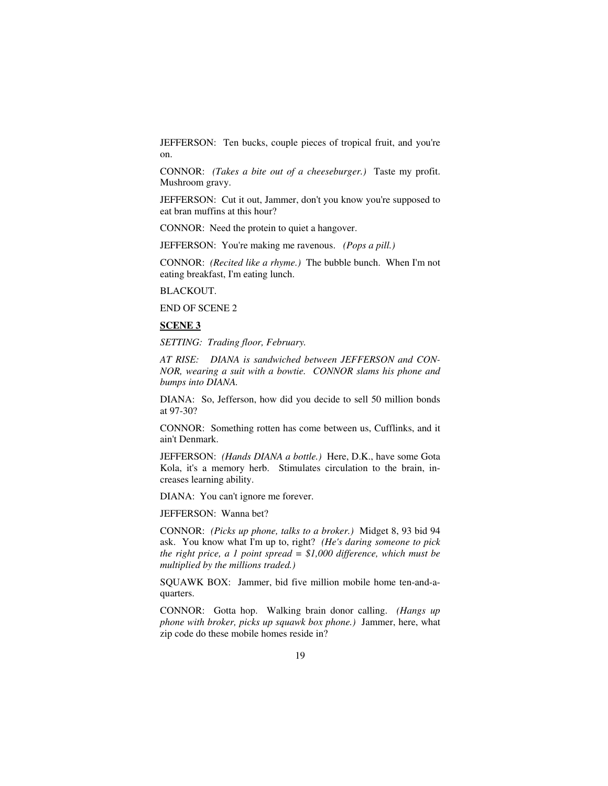JEFFERSON: Ten bucks, couple pieces of tropical fruit, and you're on.

CONNOR: *(Takes a bite out of a cheeseburger.)* Taste my profit. Mushroom gravy.

JEFFERSON: Cut it out, Jammer, don't you know you're supposed to eat bran muffins at this hour?

CONNOR: Need the protein to quiet a hangover.

JEFFERSON: You're making me ravenous. *(Pops a pill.)*

CONNOR: *(Recited like a rhyme.)* The bubble bunch. When I'm not eating breakfast, I'm eating lunch.

BLACKOUT.

END OF SCENE 2

# **SCENE 3**

*SETTING: Trading floor, February.* 

*AT RISE: DIANA is sandwiched between JEFFERSON and CON-NOR, wearing a suit with a bowtie. CONNOR slams his phone and bumps into DIANA.* 

DIANA: So, Jefferson, how did you decide to sell 50 million bonds at 97-30?

CONNOR: Something rotten has come between us, Cufflinks, and it ain't Denmark.

JEFFERSON: *(Hands DIANA a bottle.)* Here, D.K., have some Gota Kola, it's a memory herb. Stimulates circulation to the brain, increases learning ability.

DIANA: You can't ignore me forever.

JEFFERSON: Wanna bet?

CONNOR: *(Picks up phone, talks to a broker.)* Midget 8, 93 bid 94 ask. You know what I'm up to, right? *(He's daring someone to pick the right price, a 1 point spread = \$1,000 difference, which must be multiplied by the millions traded.)* 

SQUAWK BOX: Jammer, bid five million mobile home ten-and-aquarters.

CONNOR: Gotta hop. Walking brain donor calling. *(Hangs up phone with broker, picks up squawk box phone.)* Jammer, here, what zip code do these mobile homes reside in?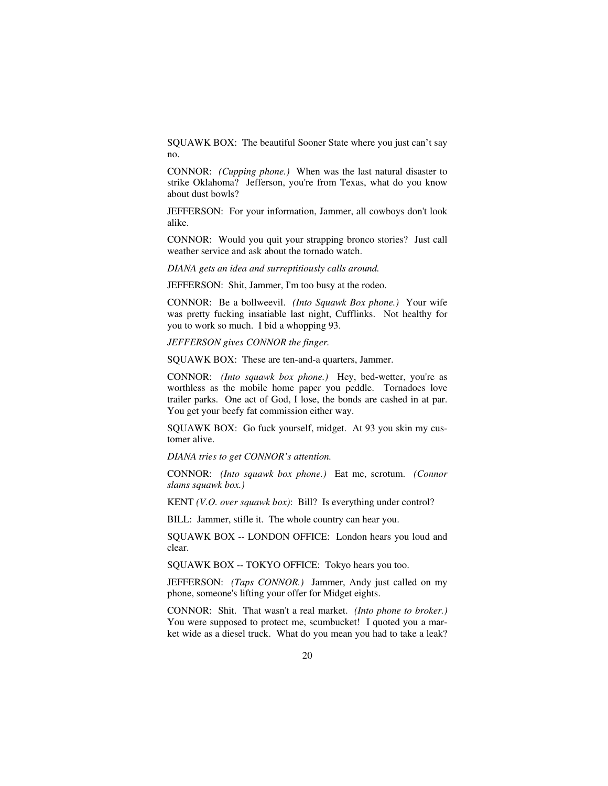SQUAWK BOX: The beautiful Sooner State where you just can't say no.

CONNOR: *(Cupping phone.)* When was the last natural disaster to strike Oklahoma? Jefferson, you're from Texas, what do you know about dust bowls?

JEFFERSON: For your information, Jammer, all cowboys don't look alike.

CONNOR: Would you quit your strapping bronco stories? Just call weather service and ask about the tornado watch.

*DIANA gets an idea and surreptitiously calls around.* 

JEFFERSON: Shit, Jammer, I'm too busy at the rodeo.

CONNOR: Be a bollweevil. *(Into Squawk Box phone.)* Your wife was pretty fucking insatiable last night, Cufflinks. Not healthy for you to work so much. I bid a whopping 93.

*JEFFERSON gives CONNOR the finger.* 

SQUAWK BOX: These are ten-and-a quarters, Jammer.

CONNOR: *(Into squawk box phone.)* Hey, bed-wetter, you're as worthless as the mobile home paper you peddle. Tornadoes love trailer parks. One act of God, I lose, the bonds are cashed in at par. You get your beefy fat commission either way.

SQUAWK BOX: Go fuck yourself, midget. At 93 you skin my customer alive.

*DIANA tries to get CONNOR's attention.* 

CONNOR: *(Into squawk box phone.)* Eat me, scrotum. *(Connor slams squawk box.)*

KENT *(V.O. over squawk box)*: Bill? Is everything under control?

BILL: Jammer, stifle it. The whole country can hear you.

SQUAWK BOX -- LONDON OFFICE: London hears you loud and clear.

SQUAWK BOX -- TOKYO OFFICE: Tokyo hears you too.

JEFFERSON: *(Taps CONNOR.)* Jammer, Andy just called on my phone, someone's lifting your offer for Midget eights.

CONNOR: Shit. That wasn't a real market. *(Into phone to broker.)* You were supposed to protect me, scumbucket! I quoted you a market wide as a diesel truck. What do you mean you had to take a leak?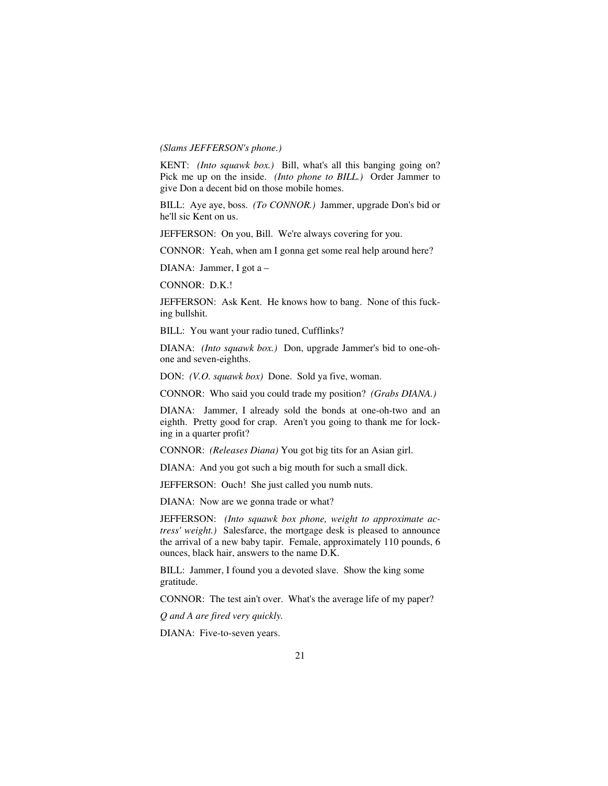# *(Slams JEFFERSON's phone.)*

KENT: *(Into squawk box.)* Bill, what's all this banging going on? Pick me up on the inside. *(Into phone to BILL.)* Order Jammer to give Don a decent bid on those mobile homes.

BILL: Aye aye, boss. *(To CONNOR.)* Jammer, upgrade Don's bid or he'll sic Kent on us.

JEFFERSON: On you, Bill. We're always covering for you.

CONNOR: Yeah, when am I gonna get some real help around here?

DIANA: Jammer, I got a –

CONNOR: D.K.!

JEFFERSON: Ask Kent. He knows how to bang. None of this fucking bullshit.

BILL: You want your radio tuned, Cufflinks?

DIANA: *(Into squawk box.)* Don, upgrade Jammer's bid to one-ohone and seven-eighths.

DON: *(V.O. squawk box)* Done. Sold ya five, woman.

CONNOR: Who said you could trade my position? *(Grabs DIANA.)*

DIANA: Jammer, I already sold the bonds at one-oh-two and an eighth. Pretty good for crap. Aren't you going to thank me for locking in a quarter profit?

CONNOR: *(Releases Diana)* You got big tits for an Asian girl.

DIANA: And you got such a big mouth for such a small dick.

JEFFERSON: Ouch! She just called you numb nuts.

DIANA: Now are we gonna trade or what?

JEFFERSON: *(Into squawk box phone, weight to approximate actress' weight.)* Salesfarce, the mortgage desk is pleased to announce the arrival of a new baby tapir. Female, approximately 110 pounds, 6 ounces, black hair, answers to the name D.K.

BILL: Jammer, I found you a devoted slave. Show the king some gratitude.

CONNOR: The test ain't over. What's the average life of my paper?

*Q and A are fired very quickly.* 

DIANA: Five-to-seven years.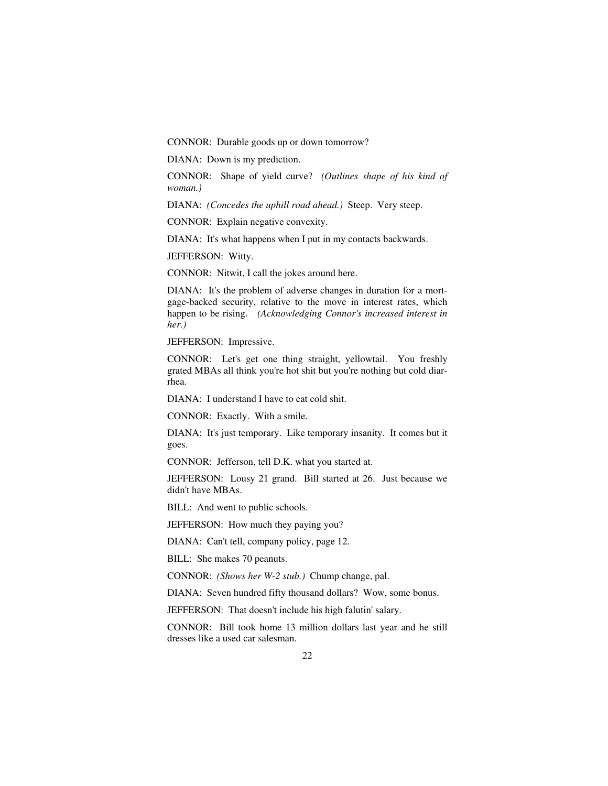CONNOR: Durable goods up or down tomorrow?

DIANA: Down is my prediction.

CONNOR: Shape of yield curve? *(Outlines shape of his kind of woman.)*

DIANA: *(Concedes the uphill road ahead.)* Steep. Very steep.

CONNOR: Explain negative convexity.

DIANA: It's what happens when I put in my contacts backwards.

JEFFERSON: Witty.

CONNOR: Nitwit, I call the jokes around here.

DIANA: It's the problem of adverse changes in duration for a mortgage-backed security, relative to the move in interest rates, which happen to be rising. *(Acknowledging Connor's increased interest in her.)* 

JEFFERSON: Impressive.

CONNOR: Let's get one thing straight, yellowtail. You freshly grated MBAs all think you're hot shit but you're nothing but cold diarrhea.

DIANA: I understand I have to eat cold shit.

CONNOR: Exactly. With a smile.

DIANA: It's just temporary. Like temporary insanity. It comes but it goes.

CONNOR: Jefferson, tell D.K. what you started at.

JEFFERSON: Lousy 21 grand. Bill started at 26. Just because we didn't have MBAs.

BILL: And went to public schools.

JEFFERSON: How much they paying you?

DIANA: Can't tell, company policy, page 12.

BILL: She makes 70 peanuts.

CONNOR: *(Shows her W-2 stub.)* Chump change, pal.

DIANA: Seven hundred fifty thousand dollars? Wow, some bonus.

JEFFERSON: That doesn't include his high falutin' salary.

CONNOR: Bill took home 13 million dollars last year and he still dresses like a used car salesman.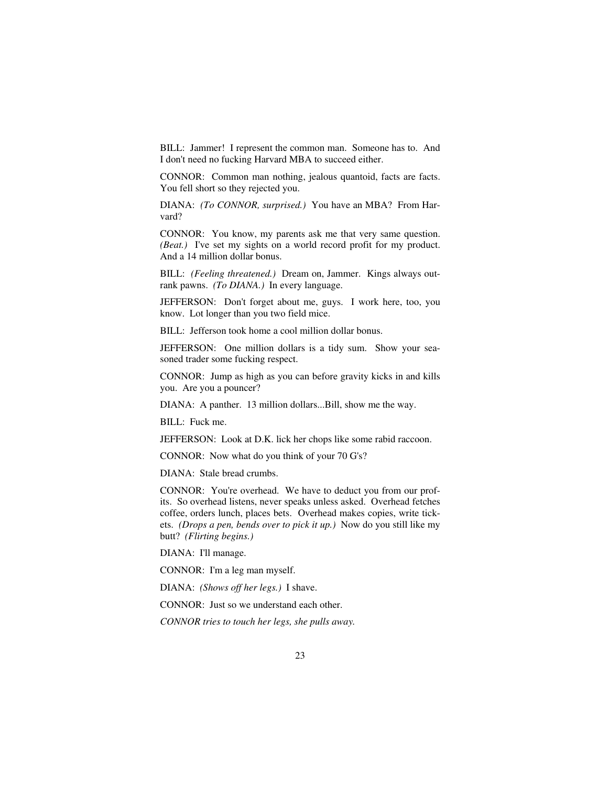BILL: Jammer! I represent the common man. Someone has to. And I don't need no fucking Harvard MBA to succeed either.

CONNOR: Common man nothing, jealous quantoid, facts are facts. You fell short so they rejected you.

DIANA: *(To CONNOR, surprised.)* You have an MBA? From Harvard?

CONNOR: You know, my parents ask me that very same question. *(Beat.)* I've set my sights on a world record profit for my product. And a 14 million dollar bonus.

BILL: *(Feeling threatened.)* Dream on, Jammer. Kings always outrank pawns. *(To DIANA.)* In every language.

JEFFERSON: Don't forget about me, guys. I work here, too, you know. Lot longer than you two field mice.

BILL: Jefferson took home a cool million dollar bonus.

JEFFERSON: One million dollars is a tidy sum. Show your seasoned trader some fucking respect.

CONNOR: Jump as high as you can before gravity kicks in and kills you. Are you a pouncer?

DIANA: A panther. 13 million dollars...Bill, show me the way.

BILL: Fuck me.

JEFFERSON: Look at D.K. lick her chops like some rabid raccoon.

CONNOR: Now what do you think of your 70 G's?

DIANA: Stale bread crumbs.

CONNOR: You're overhead. We have to deduct you from our profits. So overhead listens, never speaks unless asked. Overhead fetches coffee, orders lunch, places bets. Overhead makes copies, write tickets. *(Drops a pen, bends over to pick it up.)* Now do you still like my butt? *(Flirting begins.)* 

DIANA: I'll manage.

CONNOR: I'm a leg man myself.

DIANA: *(Shows off her legs.)* I shave.

CONNOR: Just so we understand each other.

*CONNOR tries to touch her legs, she pulls away.*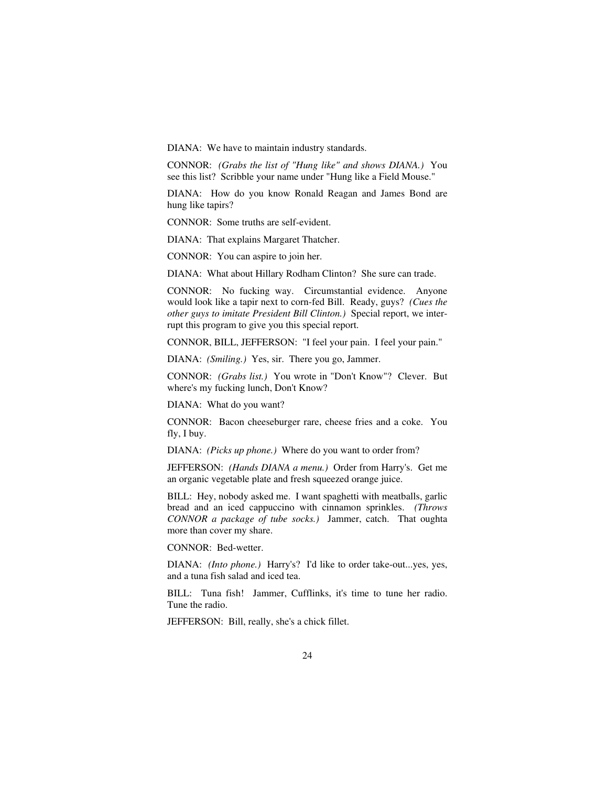DIANA: We have to maintain industry standards.

CONNOR: *(Grabs the list of "Hung like" and shows DIANA.)* You see this list? Scribble your name under "Hung like a Field Mouse."

DIANA: How do you know Ronald Reagan and James Bond are hung like tapirs?

CONNOR: Some truths are self-evident.

DIANA: That explains Margaret Thatcher.

CONNOR: You can aspire to join her.

DIANA: What about Hillary Rodham Clinton? She sure can trade.

CONNOR: No fucking way. Circumstantial evidence. Anyone would look like a tapir next to corn-fed Bill. Ready, guys? *(Cues the other guys to imitate President Bill Clinton.)* Special report, we interrupt this program to give you this special report.

CONNOR, BILL, JEFFERSON: "I feel your pain. I feel your pain."

DIANA: *(Smiling.)* Yes, sir. There you go, Jammer.

CONNOR: *(Grabs list.)* You wrote in "Don't Know"? Clever. But where's my fucking lunch, Don't Know?

DIANA: What do you want?

CONNOR: Bacon cheeseburger rare, cheese fries and a coke. You fly, I buy.

DIANA: *(Picks up phone.)* Where do you want to order from?

JEFFERSON: *(Hands DIANA a menu.)* Order from Harry's. Get me an organic vegetable plate and fresh squeezed orange juice.

BILL: Hey, nobody asked me. I want spaghetti with meatballs, garlic bread and an iced cappuccino with cinnamon sprinkles. *(Throws CONNOR a package of tube socks.)* Jammer, catch. That oughta more than cover my share.

CONNOR: Bed-wetter.

DIANA: *(Into phone.)* Harry's? I'd like to order take-out...yes, yes, and a tuna fish salad and iced tea.

BILL: Tuna fish! Jammer, Cufflinks, it's time to tune her radio. Tune the radio.

JEFFERSON: Bill, really, she's a chick fillet.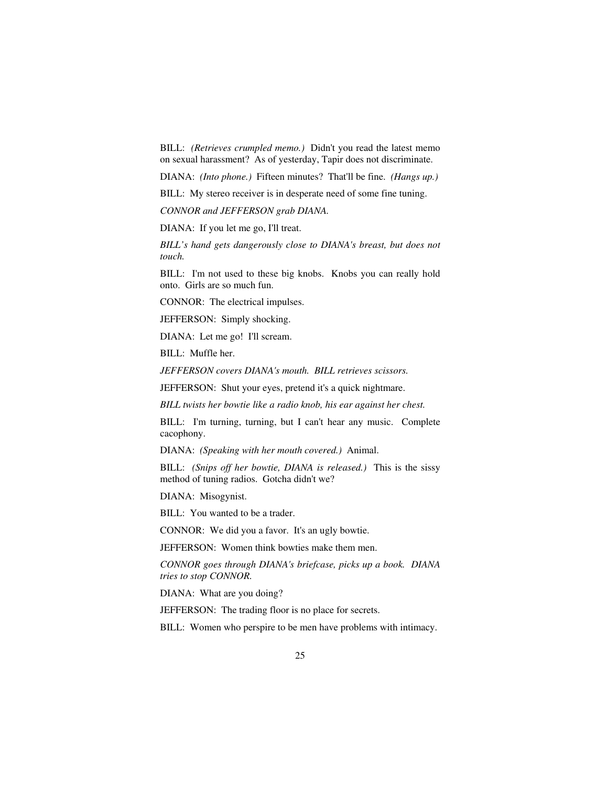BILL: *(Retrieves crumpled memo.)* Didn't you read the latest memo on sexual harassment? As of yesterday, Tapir does not discriminate.

DIANA: *(Into phone.)* Fifteen minutes? That'll be fine. *(Hangs up.)* 

BILL: My stereo receiver is in desperate need of some fine tuning.

*CONNOR and JEFFERSON grab DIANA.* 

DIANA: If you let me go, I'll treat.

*BILL's hand gets dangerously close to DIANA's breast, but does not touch.* 

BILL: I'm not used to these big knobs. Knobs you can really hold onto. Girls are so much fun.

CONNOR: The electrical impulses.

JEFFERSON: Simply shocking.

DIANA: Let me go! I'll scream.

BILL: Muffle her.

*JEFFERSON covers DIANA's mouth. BILL retrieves scissors.* 

JEFFERSON: Shut your eyes, pretend it's a quick nightmare.

*BILL twists her bowtie like a radio knob, his ear against her chest.* 

BILL: I'm turning, turning, but I can't hear any music. Complete cacophony.

DIANA: *(Speaking with her mouth covered.)* Animal.

BILL: *(Snips off her bowtie, DIANA is released.)* This is the sissy method of tuning radios. Gotcha didn't we?

DIANA: Misogynist.

BILL: You wanted to be a trader.

CONNOR: We did you a favor. It's an ugly bowtie.

JEFFERSON: Women think bowties make them men.

*CONNOR goes through DIANA's briefcase, picks up a book. DIANA tries to stop CONNOR.* 

DIANA: What are you doing?

JEFFERSON: The trading floor is no place for secrets.

BILL: Women who perspire to be men have problems with intimacy.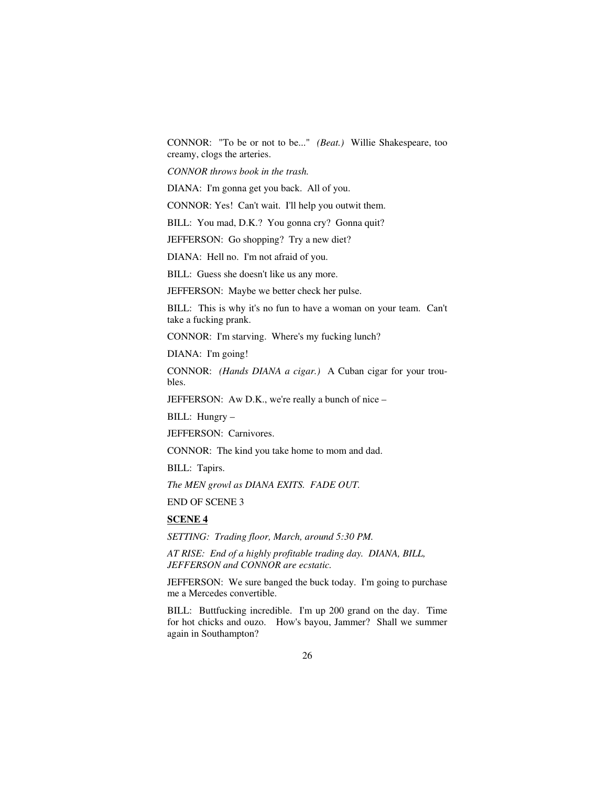CONNOR: "To be or not to be..." *(Beat.)* Willie Shakespeare, too creamy, clogs the arteries.

*CONNOR throws book in the trash.* 

DIANA: I'm gonna get you back. All of you.

CONNOR: Yes! Can't wait. I'll help you outwit them.

BILL: You mad, D.K.? You gonna cry? Gonna quit?

JEFFERSON: Go shopping? Try a new diet?

DIANA: Hell no. I'm not afraid of you.

BILL: Guess she doesn't like us any more.

JEFFERSON: Maybe we better check her pulse.

BILL: This is why it's no fun to have a woman on your team. Can't take a fucking prank.

CONNOR: I'm starving. Where's my fucking lunch?

DIANA: I'm going!

CONNOR: *(Hands DIANA a cigar.)* A Cuban cigar for your troubles.

JEFFERSON: Aw D.K., we're really a bunch of nice –

BILL: Hungry –

JEFFERSON: Carnivores.

CONNOR: The kind you take home to mom and dad.

BILL: Tapirs.

*The MEN growl as DIANA EXITS. FADE OUT.* 

END OF SCENE 3

# **SCENE 4**

*SETTING: Trading floor, March, around 5:30 PM.* 

*AT RISE: End of a highly profitable trading day. DIANA, BILL, JEFFERSON and CONNOR are ecstatic.* 

JEFFERSON: We sure banged the buck today. I'm going to purchase me a Mercedes convertible.

BILL: Buttfucking incredible. I'm up 200 grand on the day. Time for hot chicks and ouzo. How's bayou, Jammer? Shall we summer again in Southampton?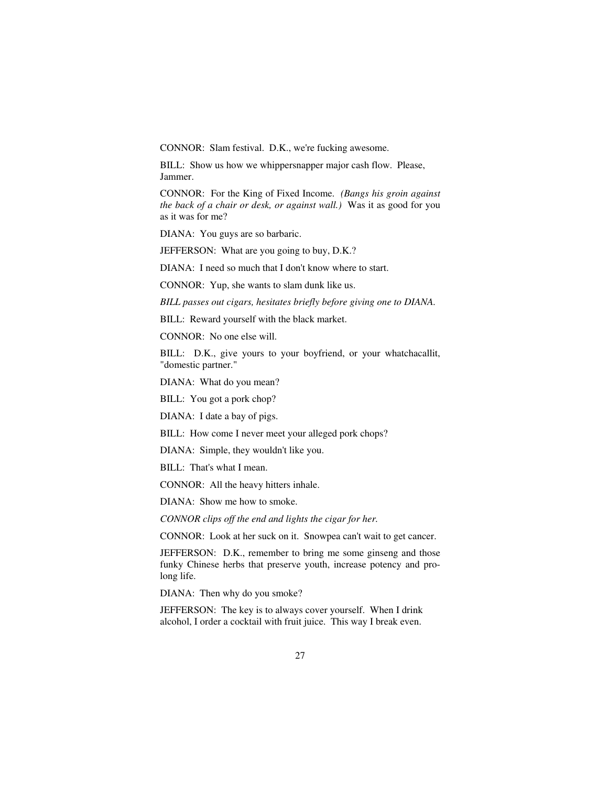CONNOR: Slam festival. D.K., we're fucking awesome.

BILL: Show us how we whippersnapper major cash flow. Please, Jammer.

CONNOR: For the King of Fixed Income. *(Bangs his groin against the back of a chair or desk, or against wall.)* Was it as good for you as it was for me?

DIANA: You guys are so barbaric.

JEFFERSON: What are you going to buy, D.K.?

DIANA: I need so much that I don't know where to start.

CONNOR: Yup, she wants to slam dunk like us.

*BILL passes out cigars, hesitates briefly before giving one to DIANA.* 

BILL: Reward yourself with the black market.

CONNOR: No one else will.

BILL: D.K., give yours to your boyfriend, or your whatchacallit, "domestic partner."

DIANA: What do you mean?

BILL: You got a pork chop?

DIANA: I date a bay of pigs.

BILL: How come I never meet your alleged pork chops?

DIANA: Simple, they wouldn't like you.

BILL: That's what I mean.

CONNOR: All the heavy hitters inhale.

DIANA: Show me how to smoke.

*CONNOR clips off the end and lights the cigar for her.* 

CONNOR: Look at her suck on it. Snowpea can't wait to get cancer.

JEFFERSON: D.K., remember to bring me some ginseng and those funky Chinese herbs that preserve youth, increase potency and prolong life.

DIANA: Then why do you smoke?

JEFFERSON: The key is to always cover yourself. When I drink alcohol, I order a cocktail with fruit juice. This way I break even.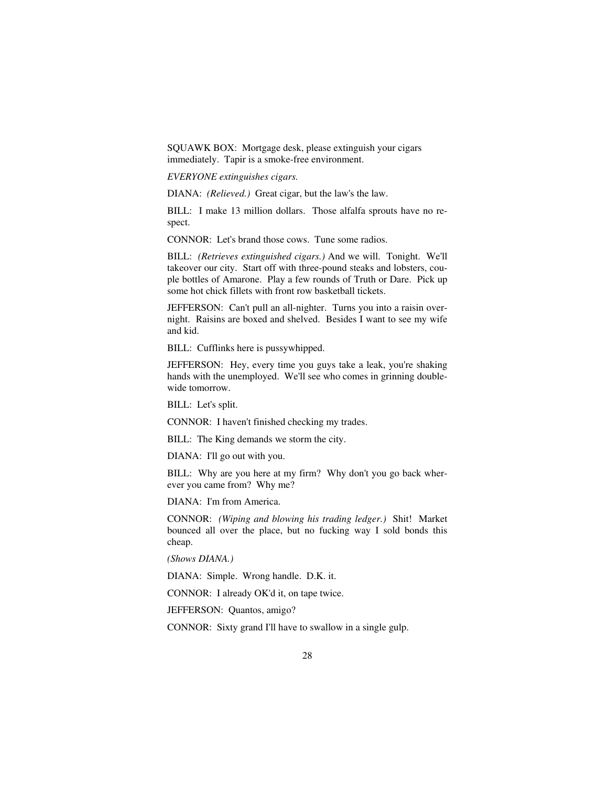SQUAWK BOX: Mortgage desk, please extinguish your cigars immediately. Tapir is a smoke-free environment.

#### *EVERYONE extinguishes cigars.*

DIANA: *(Relieved.)* Great cigar, but the law's the law.

BILL: I make 13 million dollars. Those alfalfa sprouts have no respect.

CONNOR: Let's brand those cows. Tune some radios.

BILL: *(Retrieves extinguished cigars.)* And we will. Tonight. We'll takeover our city. Start off with three-pound steaks and lobsters, couple bottles of Amarone. Play a few rounds of Truth or Dare. Pick up some hot chick fillets with front row basketball tickets.

JEFFERSON: Can't pull an all-nighter. Turns you into a raisin overnight. Raisins are boxed and shelved. Besides I want to see my wife and kid.

BILL: Cufflinks here is pussywhipped.

JEFFERSON: Hey, every time you guys take a leak, you're shaking hands with the unemployed. We'll see who comes in grinning doublewide tomorrow.

BILL: Let's split.

CONNOR: I haven't finished checking my trades.

BILL: The King demands we storm the city.

DIANA: I'll go out with you.

BILL: Why are you here at my firm? Why don't you go back wherever you came from? Why me?

DIANA: I'm from America.

CONNOR: *(Wiping and blowing his trading ledger.)* Shit! Market bounced all over the place, but no fucking way I sold bonds this cheap.

*(Shows DIANA.)*

DIANA: Simple. Wrong handle. D.K. it.

CONNOR: I already OK'd it, on tape twice.

JEFFERSON: Quantos, amigo?

CONNOR: Sixty grand I'll have to swallow in a single gulp.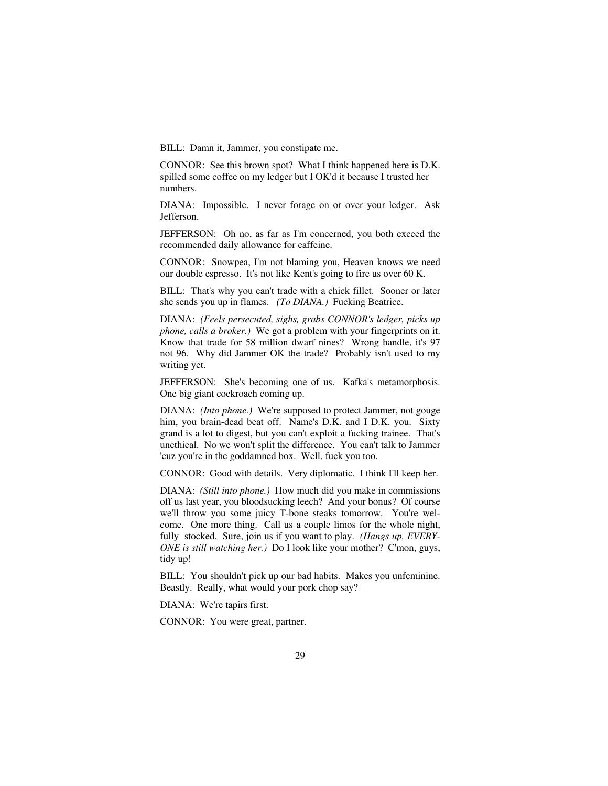BILL: Damn it, Jammer, you constipate me.

CONNOR: See this brown spot? What I think happened here is D.K. spilled some coffee on my ledger but I OK'd it because I trusted her numbers.

DIANA: Impossible. I never forage on or over your ledger. Ask Jefferson.

JEFFERSON: Oh no, as far as I'm concerned, you both exceed the recommended daily allowance for caffeine.

CONNOR: Snowpea, I'm not blaming you, Heaven knows we need our double espresso. It's not like Kent's going to fire us over 60 K.

BILL: That's why you can't trade with a chick fillet. Sooner or later she sends you up in flames. *(To DIANA.)* Fucking Beatrice.

DIANA: *(Feels persecuted, sighs, grabs CONNOR's ledger, picks up phone, calls a broker.)* We got a problem with your fingerprints on it. Know that trade for 58 million dwarf nines? Wrong handle, it's 97 not 96. Why did Jammer OK the trade? Probably isn't used to my writing yet.

JEFFERSON: She's becoming one of us. Kafka's metamorphosis. One big giant cockroach coming up.

DIANA: *(Into phone.)* We're supposed to protect Jammer, not gouge him, you brain-dead beat off. Name's D.K. and I D.K. you. Sixty grand is a lot to digest, but you can't exploit a fucking trainee. That's unethical. No we won't split the difference. You can't talk to Jammer 'cuz you're in the goddamned box. Well, fuck you too.

CONNOR: Good with details. Very diplomatic. I think I'll keep her.

DIANA: *(Still into phone.)* How much did you make in commissions off us last year, you bloodsucking leech? And your bonus? Of course we'll throw you some juicy T-bone steaks tomorrow. You're welcome. One more thing. Call us a couple limos for the whole night, fully stocked. Sure, join us if you want to play. *(Hangs up, EVERY-ONE is still watching her.)* Do I look like your mother? C'mon, guys, tidy up!

BILL: You shouldn't pick up our bad habits. Makes you unfeminine. Beastly. Really, what would your pork chop say?

DIANA: We're tapirs first.

CONNOR: You were great, partner.